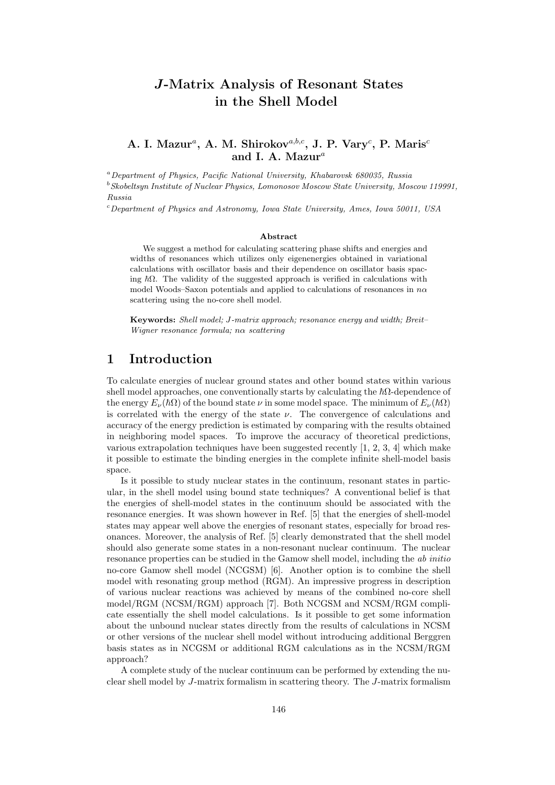# J-Matrix Analysis of Resonant States in the Shell Model

#### A. I. Mazur<sup>a</sup>, A. M. Shirokov<sup>a,b,c</sup>, J. P. Vary<sup>c</sup>, P. Maris<sup>c</sup> and I. A. Mazur $^a$

<sup>a</sup>Department of Physics, Pacific National University, Khabarovsk 680035, Russia

 $^{b}$ Skobeltsyn Institute of Nuclear Physics, Lomonosov Moscow State University, Moscow 119991, Russia

<sup>c</sup>Department of Physics and Astronomy, Iowa State University, Ames, Iowa 50011, USA

#### Abstract

We suggest a method for calculating scattering phase shifts and energies and widths of resonances which utilizes only eigenenergies obtained in variational calculations with oscillator basis and their dependence on oscillator basis spacing  $\hbar\Omega$ . The validity of the suggested approach is verified in calculations with model Woods–Saxon potentials and applied to calculations of resonances in  $n\alpha$ scattering using the no-core shell model.

Keywords: Shell model; J-matrix approach; resonance energy and width; Breit– Wigner resonance formula; nα scattering

## 1 Introduction

To calculate energies of nuclear ground states and other bound states within various shell model approaches, one conventionally starts by calculating the  $\hbar\Omega$ -dependence of the energy  $E_{\nu}(\hbar\Omega)$  of the bound state  $\nu$  in some model space. The minimum of  $E_{\nu}(\hbar\Omega)$ is correlated with the energy of the state  $\nu$ . The convergence of calculations and accuracy of the energy prediction is estimated by comparing with the results obtained in neighboring model spaces. To improve the accuracy of theoretical predictions, various extrapolation techniques have been suggested recently  $[1, 2, 3, 4]$  which make it possible to estimate the binding energies in the complete infinite shell-model basis space.

Is it possible to study nuclear states in the continuum, resonant states in particular, in the shell model using bound state techniques? A conventional belief is that the energies of shell-model states in the continuum should be associated with the resonance energies. It was shown however in Ref. [5] that the energies of shell-model states may appear well above the energies of resonant states, especially for broad resonances. Moreover, the analysis of Ref. [5] clearly demonstrated that the shell model should also generate some states in a non-resonant nuclear continuum. The nuclear resonance properties can be studied in the Gamow shell model, including the ab initio no-core Gamow shell model (NCGSM) [6]. Another option is to combine the shell model with resonating group method (RGM). An impressive progress in description of various nuclear reactions was achieved by means of the combined no-core shell model/RGM (NCSM/RGM) approach [7]. Both NCGSM and NCSM/RGM complicate essentially the shell model calculations. Is it possible to get some information about the unbound nuclear states directly from the results of calculations in NCSM or other versions of the nuclear shell model without introducing additional Berggren basis states as in NCGSM or additional RGM calculations as in the NCSM/RGM approach?

A complete study of the nuclear continuum can be performed by extending the nuclear shell model by J-matrix formalism in scattering theory. The J-matrix formalism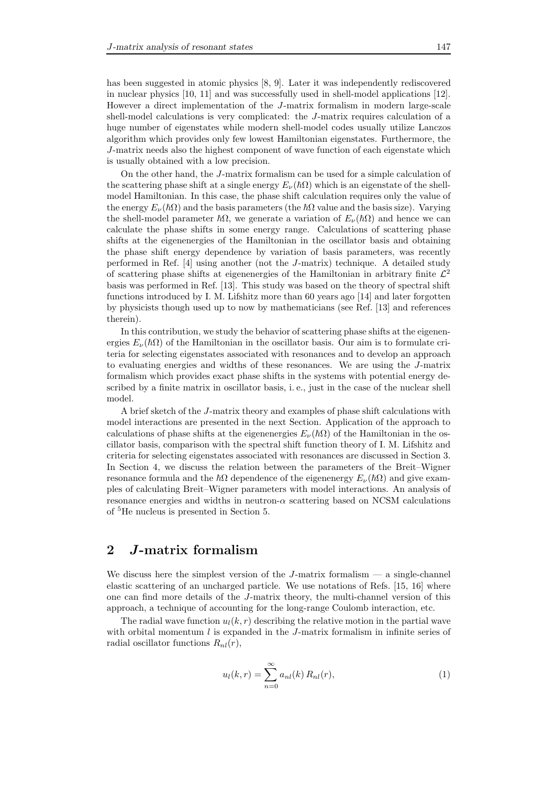has been suggested in atomic physics [8, 9]. Later it was independently rediscovered in nuclear physics [10, 11] and was successfully used in shell-model applications [12]. However a direct implementation of the J-matrix formalism in modern large-scale shell-model calculations is very complicated: the J-matrix requires calculation of a huge number of eigenstates while modern shell-model codes usually utilize Lanczos algorithm which provides only few lowest Hamiltonian eigenstates. Furthermore, the J-matrix needs also the highest component of wave function of each eigenstate which is usually obtained with a low precision.

On the other hand, the J-matrix formalism can be used for a simple calculation of the scattering phase shift at a single energy  $E_{\nu}(\hbar\Omega)$  which is an eigenstate of the shellmodel Hamiltonian. In this case, the phase shift calculation requires only the value of the energy  $E_{\nu}(\hbar\Omega)$  and the basis parameters (the  $\hbar\Omega$  value and the basis size). Varying the shell-model parameter  $\hbar\Omega$ , we generate a variation of  $E_\nu(\hbar\Omega)$  and hence we can calculate the phase shifts in some energy range. Calculations of scattering phase shifts at the eigenenergies of the Hamiltonian in the oscillator basis and obtaining the phase shift energy dependence by variation of basis parameters, was recently performed in Ref. [4] using another (not the J-matrix) technique. A detailed study of scattering phase shifts at eigenenergies of the Hamiltonian in arbitrary finite  $\mathcal{L}^2$ basis was performed in Ref. [13]. This study was based on the theory of spectral shift functions introduced by I. M. Lifshitz more than 60 years ago [14] and later forgotten by physicists though used up to now by mathematicians (see Ref. [13] and references therein).

In this contribution, we study the behavior of scattering phase shifts at the eigenenergies  $E_{\nu}(\hbar\Omega)$  of the Hamiltonian in the oscillator basis. Our aim is to formulate criteria for selecting eigenstates associated with resonances and to develop an approach to evaluating energies and widths of these resonances. We are using the J-matrix formalism which provides exact phase shifts in the systems with potential energy described by a finite matrix in oscillator basis, i. e., just in the case of the nuclear shell model.

A brief sketch of the J-matrix theory and examples of phase shift calculations with model interactions are presented in the next Section. Application of the approach to calculations of phase shifts at the eigenenergies  $E_{\nu}(\hbar\Omega)$  of the Hamiltonian in the oscillator basis, comparison with the spectral shift function theory of I. M. Lifshitz and criteria for selecting eigenstates associated with resonances are discussed in Section 3. In Section 4, we discuss the relation between the parameters of the Breit–Wigner resonance formula and the  $\hbar\Omega$  dependence of the eigenenergy  $E_{\nu}(\hbar\Omega)$  and give examples of calculating Breit–Wigner parameters with model interactions. An analysis of resonance energies and widths in neutron- $\alpha$  scattering based on NCSM calculations of <sup>5</sup>He nucleus is presented in Section 5.

## 2 J-matrix formalism

We discuss here the simplest version of the  $J$ -matrix formalism  $-$  a single-channel elastic scattering of an uncharged particle. We use notations of Refs. [15, 16] where one can find more details of the J-matrix theory, the multi-channel version of this approach, a technique of accounting for the long-range Coulomb interaction, etc.

The radial wave function  $u_l(k, r)$  describing the relative motion in the partial wave with orbital momentum  $l$  is expanded in the J-matrix formalism in infinite series of radial oscillator functions  $R_{nl}(r)$ ,

$$
u_l(k,r) = \sum_{n=0}^{\infty} a_{nl}(k) R_{nl}(r),
$$
\n(1)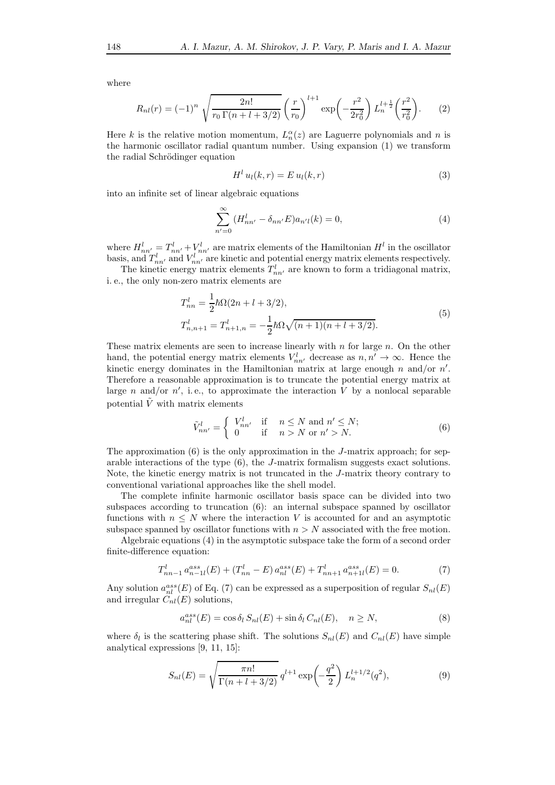where

$$
R_{nl}(r) = (-1)^n \sqrt{\frac{2n!}{r_0 \Gamma(n+l+3/2)}} \left(\frac{r}{r_0}\right)^{l+1} \exp\left(-\frac{r^2}{2r_0^2}\right) L_n^{l+\frac{1}{2}}\left(\frac{r^2}{r_0^2}\right).
$$
 (2)

Here k is the relative motion momentum,  $L_n^{\alpha}(z)$  are Laguerre polynomials and n is the harmonic oscillator radial quantum number. Using expansion (1) we transform the radial Schrödinger equation

$$
H^l u_l(k,r) = E u_l(k,r)
$$
\n(3)

into an infinite set of linear algebraic equations

$$
\sum_{n'=0}^{\infty} (H_{nn'}^l - \delta_{nn'} E) a_{n'l}(k) = 0,
$$
\n(4)

where  $H_{nn'}^l = T_{nn'}^l + V_{nn'}^l$  are matrix elements of the Hamiltonian  $H^l$  in the oscillator basis, and  $T_{nn'}^l$  and  $V_{nn'}^l$  are kinetic and potential energy matrix elements respectively.

The kinetic energy matrix elements  $T_{nn'}^l$  are known to form a tridiagonal matrix, i. e., the only non-zero matrix elements are

$$
T_{nn}^{l} = \frac{1}{2}\hbar\Omega(2n + l + 3/2),
$$
  
\n
$$
T_{n,n+1}^{l} = T_{n+1,n}^{l} = -\frac{1}{2}\hbar\Omega\sqrt{(n+1)(n + l + 3/2)}.
$$
\n(5)

These matrix elements are seen to increase linearly with  $n$  for large  $n$ . On the other hand, the potential energy matrix elements  $V_{nn'}^l$  decrease as  $n, n' \to \infty$ . Hence the kinetic energy dominates in the Hamiltonian matrix at large enough n and/or  $n'$ . Therefore a reasonable approximation is to truncate the potential energy matrix at large *n* and/or *n'*, i.e., to approximate the interaction  $\overline{V}$  by a nonlocal separable potential  $\tilde{V}$  with matrix elements

$$
\tilde{V}_{nn'}^l = \begin{cases}\nV_{nn'}^l & \text{if } n \le N \text{ and } n' \le N; \\
0 & \text{if } n > N \text{ or } n' > N.\n\end{cases}
$$
\n(6)

The approximation  $(6)$  is the only approximation in the J-matrix approach; for separable interactions of the type (6), the J-matrix formalism suggests exact solutions. Note, the kinetic energy matrix is not truncated in the J-matrix theory contrary to conventional variational approaches like the shell model.

The complete infinite harmonic oscillator basis space can be divided into two subspaces according to truncation (6): an internal subspace spanned by oscillator functions with  $n \leq N$  where the interaction V is accounted for and an asymptotic subspace spanned by oscillator functions with  $n > N$  associated with the free motion.

Algebraic equations (4) in the asymptotic subspace take the form of a second order finite-difference equation:

$$
T_{nn-1}^l a_{n-1l}^{ass}(E) + (T_{nn}^l - E) a_{nl}^{ass}(E) + T_{nn+1}^l a_{n+1l}^{ass}(E) = 0.
$$
 (7)

Any solution  $a_{nl}^{ass}(E)$  of Eq. (7) can be expressed as a superposition of regular  $S_{nl}(E)$ and irregular  $C_{nl}(E)$  solutions,

$$
a_{nl}^{ass}(E) = \cos \delta_l S_{nl}(E) + \sin \delta_l C_{nl}(E), \quad n \ge N,
$$
\n(8)

where  $\delta_l$  is the scattering phase shift. The solutions  $S_{nl}(E)$  and  $C_{nl}(E)$  have simple analytical expressions [9, 11, 15]:

$$
S_{nl}(E) = \sqrt{\frac{\pi n!}{\Gamma(n+l+3/2)}} q^{l+1} \exp\left(-\frac{q^2}{2}\right) L_n^{l+1/2}(q^2),\tag{9}
$$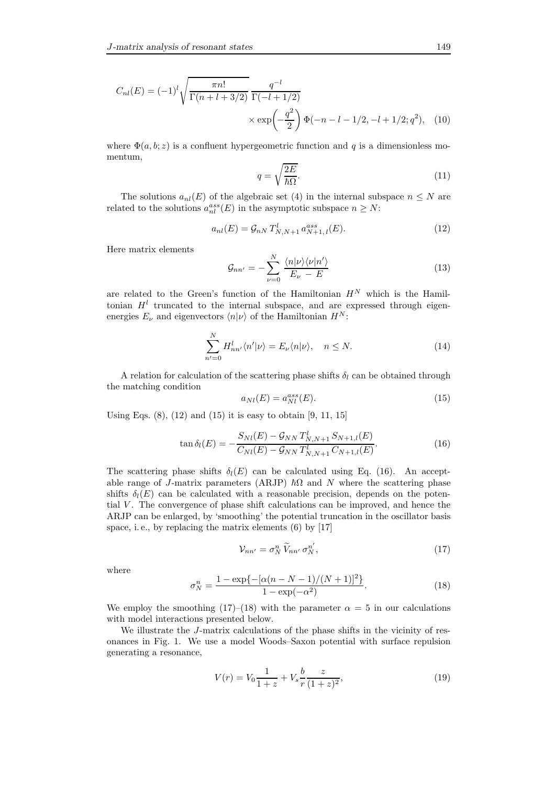$$
C_{nl}(E) = (-1)^l \sqrt{\frac{\pi n!}{\Gamma(n+l+3/2)}} \frac{q^{-l}}{\Gamma(-l+1/2)} \times \exp\left(-\frac{q^2}{2}\right) \Phi(-n-l-1/2, -l+1/2; q^2), \quad (10)
$$

where  $\Phi(a, b; z)$  is a confluent hypergeometric function and q is a dimensionless momentum,

$$
q = \sqrt{\frac{2E}{\hbar\Omega}}.\tag{11}
$$

The solutions  $a_{nl}(E)$  of the algebraic set (4) in the internal subspace  $n \leq N$  are related to the solutions  $a_{nl}^{ass}(E)$  in the asymptotic subspace  $n \geq N$ :

$$
a_{nl}(E) = \mathcal{G}_{nN} T^l_{N,N+1} a_{N+1,l}^{ass}(E). \tag{12}
$$

Here matrix elements

$$
\mathcal{G}_{nn'} = -\sum_{\nu=0}^{N} \frac{\langle n|\nu\rangle\langle\nu|n'\rangle}{E_{\nu} - E}
$$
\n(13)

are related to the Green's function of the Hamiltonian  $H^N$  which is the Hamiltonian  $H<sup>l</sup>$  truncated to the internal subspace, and are expressed through eigenenergies  $E_{\nu}$  and eigenvectors  $\langle n|\nu\rangle$  of the Hamiltonian  $H^{N}$ :

$$
\sum_{n'=0}^{N} H_{nn'}^{l} \langle n' | \nu \rangle = E_{\nu} \langle n | \nu \rangle, \quad n \le N.
$$
 (14)

A relation for calculation of the scattering phase shifts  $\delta_l$  can be obtained through the matching condition

$$
a_{Nl}(E) = a_{Nl}^{ass}(E). \tag{15}
$$

Using Eqs.  $(8)$ ,  $(12)$  and  $(15)$  it is easy to obtain  $[9, 11, 15]$ 

$$
\tan \delta_l(E) = -\frac{S_{Nl}(E) - \mathcal{G}_{NN} T^l_{N,N+1} S_{N+1,l}(E)}{C_{Nl}(E) - \mathcal{G}_{NN} T^l_{N,N+1} C_{N+1,l}(E)}.
$$
(16)

The scattering phase shifts  $\delta_l(E)$  can be calculated using Eq. (16). An acceptable range of J-matrix parameters (ARJP)  $\hbar\Omega$  and N where the scattering phase shifts  $\delta_l(E)$  can be calculated with a reasonable precision, depends on the potential  $V$ . The convergence of phase shift calculations can be improved, and hence the ARJP can be enlarged, by 'smoothing' the potential truncation in the oscillator basis space, i.e., by replacing the matrix elements  $(6)$  by  $[17]$ 

$$
\mathcal{V}_{nn'} = \sigma_N^n \, \widetilde{V}_{nn'} \, \sigma_N^{n'},\tag{17}
$$

where

$$
\sigma_N^n = \frac{1 - \exp\{-\left[\alpha(n - N - 1)/(N + 1)\right]^2\}}{1 - \exp(-\alpha^2)}.
$$
\n(18)

We employ the smoothing (17)–(18) with the parameter  $\alpha = 5$  in our calculations with model interactions presented below.

We illustrate the *J*-matrix calculations of the phase shifts in the vicinity of resonances in Fig. 1. We use a model Woods–Saxon potential with surface repulsion generating a resonance,

$$
V(r) = V_0 \frac{1}{1+z} + V_s \frac{b}{r} \frac{z}{(1+z)^2},
$$
\n(19)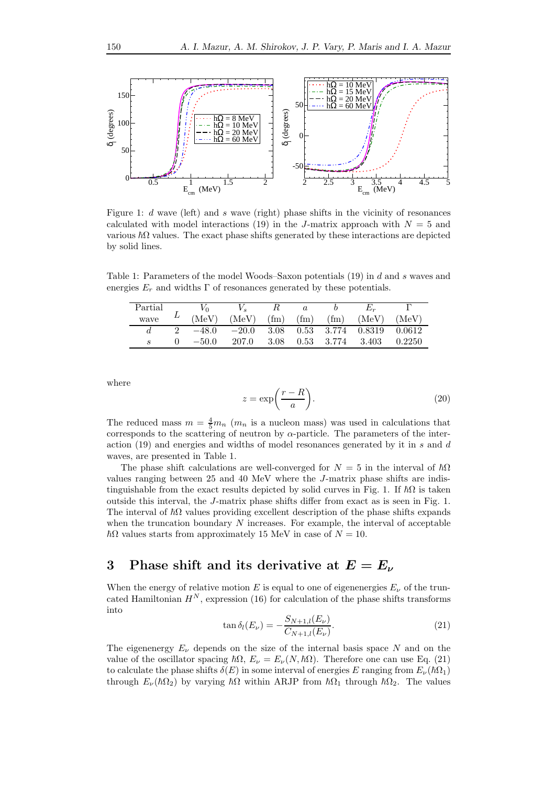

Figure 1: d wave (left) and s wave (right) phase shifts in the vicinity of resonances calculated with model interactions (19) in the J-matrix approach with  $N = 5$  and various  $\hbar\Omega$  values. The exact phase shifts generated by these interactions are depicted by solid lines.

Table 1: Parameters of the model Woods–Saxon potentials (19) in d and s waves and energies  $E_r$  and widths  $\Gamma$  of resonances generated by these potentials.

| Partial |         |         |                   |                   |                   |              |        |
|---------|---------|---------|-------------------|-------------------|-------------------|--------------|--------|
| wave    | (MeV)   | (MeV)   | (f <sub>m</sub> ) | (f <sub>m</sub> ) | (f <sub>m</sub> ) | (MeV)        | (MeV)  |
|         | $-48.0$ | $-20.0$ | 3.08              | 0.53              |                   | 3.774 0.8319 | 0.0612 |
|         | $-50.0$ | 207.0   | 3.08              |                   | $0.53$ 3.774      | 3.403        | 0.2250 |

where

$$
z = \exp\left(\frac{r - R}{a}\right). \tag{20}
$$

The reduced mass  $m = \frac{4}{5}m_n$  ( $m_n$  is a nucleon mass) was used in calculations that corresponds to the scattering of neutron by  $\alpha$ -particle. The parameters of the interaction  $(19)$  and energies and widths of model resonances generated by it in s and d waves, are presented in Table 1.

The phase shift calculations are well-converged for  $N = 5$  in the interval of  $\hbar\Omega$ values ranging between 25 and 40 MeV where the J-matrix phase shifts are indistinguishable from the exact results depicted by solid curves in Fig. 1. If  $\hbar\Omega$  is taken outside this interval, the J-matrix phase shifts differ from exact as is seen in Fig. 1. The interval of  $\hbar\Omega$  values providing excellent description of the phase shifts expands when the truncation boundary  $N$  increases. For example, the interval of acceptable  $\hbar\Omega$  values starts from approximately 15 MeV in case of  $N = 10$ .

### 3 Phase shift and its derivative at  $E = E_{\nu}$

When the energy of relative motion E is equal to one of eigenenergies  $E_{\nu}$  of the truncated Hamiltonian  $H^N$ , expression (16) for calculation of the phase shifts transforms into

$$
\tan \delta_l(E_\nu) = -\frac{S_{N+1,l}(E_\nu)}{C_{N+1,l}(E_\nu)}.\tag{21}
$$

The eigenenergy  $E_{\nu}$  depends on the size of the internal basis space N and on the value of the oscillator spacing  $\hbar\Omega$ ,  $E_{\nu} = E_{\nu}(N, \hbar\Omega)$ . Therefore one can use Eq. (21) to calculate the phase shifts  $\delta(E)$  in some interval of energies E ranging from  $E_{\nu}(\hbar\Omega_1)$ through  $E_{\nu}(\hbar\Omega_2)$  by varying  $\hbar\Omega$  within ARJP from  $\hbar\Omega_1$  through  $\hbar\Omega_2$ . The values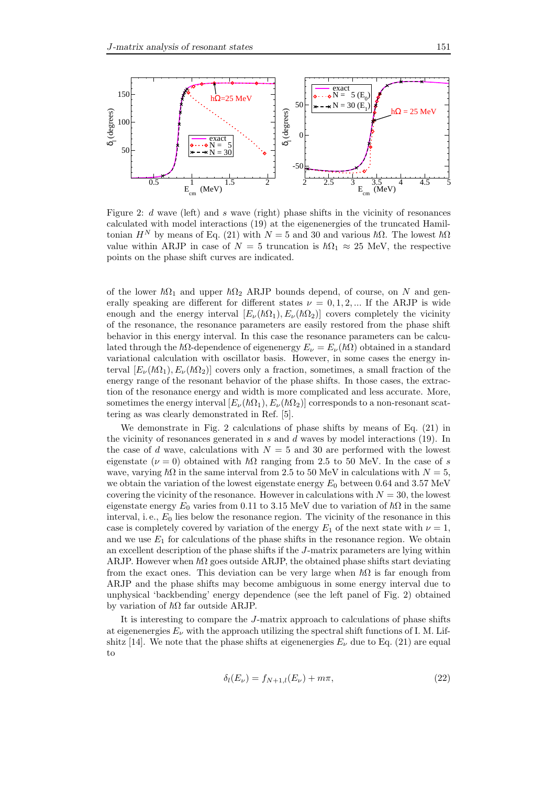

Figure 2: d wave (left) and s wave (right) phase shifts in the vicinity of resonances calculated with model interactions (19) at the eigenenergies of the truncated Hamiltonian  $H^N$  by means of Eq. (21) with  $N = 5$  and 30 and various  $\hbar\Omega$ . The lowest  $\hbar\Omega$ value within ARJP in case of  $N = 5$  truncation is  $\hbar\Omega_1 \approx 25$  MeV, the respective points on the phase shift curves are indicated.

of the lower  $\hbar\Omega_1$  and upper  $\hbar\Omega_2$  ARJP bounds depend, of course, on N and generally speaking are different for different states  $\nu = 0, 1, 2, ...$  If the ARJP is wide enough and the energy interval  $[E_{\nu}(\hbar\Omega_1), E_{\nu}(\hbar\Omega_2)]$  covers completely the vicinity of the resonance, the resonance parameters are easily restored from the phase shift behavior in this energy interval. In this case the resonance parameters can be calculated through the  $\hbar\Omega$ -dependence of eigenenergy  $E_{\nu} = E_{\nu}(\hbar\Omega)$  obtained in a standard variational calculation with oscillator basis. However, in some cases the energy interval  $[E_{\nu}(\hbar\Omega_1), E_{\nu}(\hbar\Omega_2)]$  covers only a fraction, sometimes, a small fraction of the energy range of the resonant behavior of the phase shifts. In those cases, the extraction of the resonance energy and width is more complicated and less accurate. More, sometimes the energy interval  $[E_{\nu} (\hbar \Omega_1), E_{\nu} (\hbar \Omega_2)]$  corresponds to a non-resonant scattering as was clearly demonstrated in Ref. [5].

We demonstrate in Fig. 2 calculations of phase shifts by means of Eq. (21) in the vicinity of resonances generated in  $s$  and  $d$  waves by model interactions (19). In the case of d wave, calculations with  $N = 5$  and 30 are performed with the lowest eigenstate ( $\nu = 0$ ) obtained with  $\hbar\Omega$  ranging from 2.5 to 50 MeV. In the case of s wave, varying  $\hbar\Omega$  in the same interval from 2.5 to 50 MeV in calculations with  $N = 5$ , we obtain the variation of the lowest eigenstate energy  $E_0$  between 0.64 and 3.57 MeV covering the vicinity of the resonance. However in calculations with  $N = 30$ , the lowest eigenstate energy  $E_0$  varies from 0.11 to 3.15 MeV due to variation of  $\hbar\Omega$  in the same interval, i. e.,  $E_0$  lies below the resonance region. The vicinity of the resonance in this case is completely covered by variation of the energy  $E_1$  of the next state with  $\nu = 1$ , and we use  $E_1$  for calculations of the phase shifts in the resonance region. We obtain an excellent description of the phase shifts if the J-matrix parameters are lying within ARJP. However when  $\hbar\Omega$  goes outside ARJP, the obtained phase shifts start deviating from the exact ones. This deviation can be very large when  $\hbar\Omega$  is far enough from ARJP and the phase shifts may become ambiguous in some energy interval due to unphysical 'backbending' energy dependence (see the left panel of Fig. 2) obtained by variation of  $\hbar\Omega$  far outside ARJP.

It is interesting to compare the J-matrix approach to calculations of phase shifts at eigenenergies  $E_{\nu}$  with the approach utilizing the spectral shift functions of I. M. Lifshitz [14]. We note that the phase shifts at eigenenergies  $E_{\nu}$  due to Eq. (21) are equal to

$$
\delta_l(E_\nu) = f_{N+1,l}(E_\nu) + m\pi,\tag{22}
$$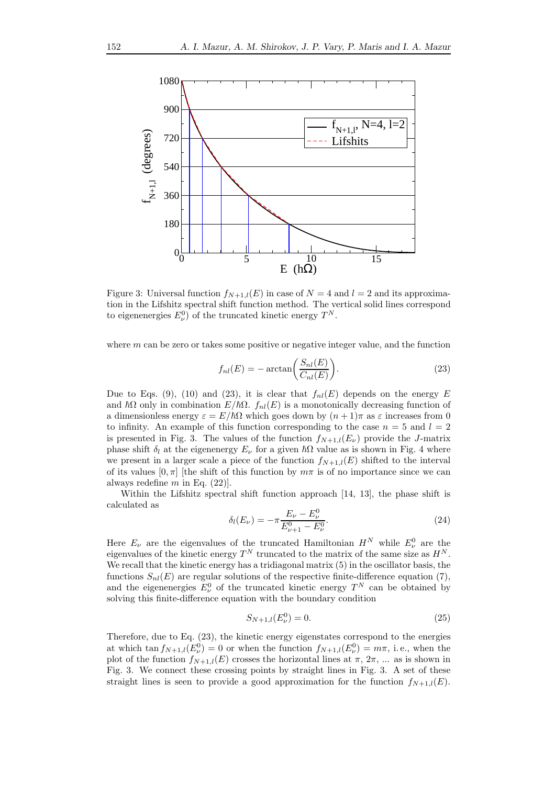

Figure 3: Universal function  $f_{N+1,l}(E)$  in case of  $N=4$  and  $l=2$  and its approximation in the Lifshitz spectral shift function method. The vertical solid lines correspond to eigenenergies  $E_{\nu}^{0}$  of the truncated kinetic energy  $T^{N}$ .

where  $m$  can be zero or takes some positive or negative integer value, and the function

$$
f_{nl}(E) = -\arctan\bigg(\frac{S_{nl}(E)}{C_{nl}(E)}\bigg). \tag{23}
$$

Due to Eqs. (9), (10) and (23), it is clear that  $f_{nl}(E)$  depends on the energy E and  $\hbar\Omega$  only in combination  $E/\hbar\Omega$ .  $f_{nl}(E)$  is a monotonically decreasing function of a dimensionless energy  $\varepsilon = E/\hbar\Omega$  which goes down by  $(n+1)\pi$  as  $\varepsilon$  increases from 0 to infinity. An example of this function corresponding to the case  $n = 5$  and  $l = 2$ is presented in Fig. 3. The values of the function  $f_{N+1,l}(E_{\nu})$  provide the J-matrix phase shift  $\delta_l$  at the eigenenergy  $E_\nu$  for a given  $\hbar\Omega$  value as is shown in Fig. 4 where we present in a larger scale a piece of the function  $f_{N+1,l}(E)$  shifted to the interval of its values  $[0, \pi]$  [the shift of this function by  $m\pi$  is of no importance since we can always redefine  $m$  in Eq. (22).

Within the Lifshitz spectral shift function approach [14, 13], the phase shift is calculated as

$$
\delta_l(E_\nu) = -\pi \frac{E_\nu - E_\nu^0}{E_{\nu+1}^0 - E_\nu^0}.\tag{24}
$$

Here  $E_{\nu}$  are the eigenvalues of the truncated Hamiltonian  $H^{N}$  while  $E_{\nu}^{0}$  are the eigenvalues of the kinetic energy  $T^N$  truncated to the matrix of the same size as  $H^N$ . We recall that the kinetic energy has a tridiagonal matrix  $(5)$  in the oscillator basis, the functions  $S_{nl}(E)$  are regular solutions of the respective finite-difference equation (7), and the eigenenergies  $E_{\nu}^0$  of the truncated kinetic energy  $T^N$  can be obtained by solving this finite-difference equation with the boundary condition

$$
S_{N+1,l}(E^0_\nu) = 0.\t\t(25)
$$

Therefore, due to Eq. (23), the kinetic energy eigenstates correspond to the energies at which  $\tan f_{N+1,l}(E^0_\nu) = 0$  or when the function  $f_{N+1,l}(E^0_\nu) = m\pi$ , i.e., when the plot of the function  $f_{N+1,l}(E)$  crosses the horizontal lines at  $\pi$ ,  $2\pi$ , ... as is shown in Fig. 3. We connect these crossing points by straight lines in Fig. 3. A set of these straight lines is seen to provide a good approximation for the function  $f_{N+1,l}(E)$ .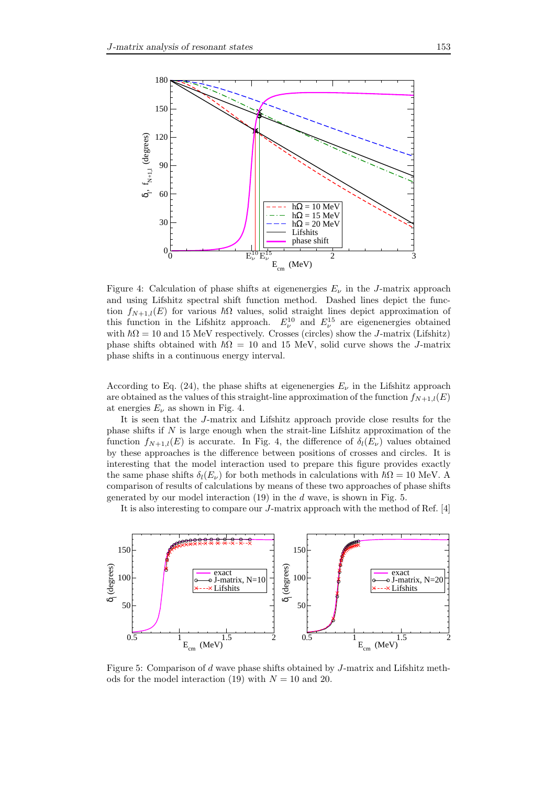

Figure 4: Calculation of phase shifts at eigenenergies  $E_{\nu}$  in the J-matrix approach and using Lifshitz spectral shift function method. Dashed lines depict the function  $f_{N+1,l}(E)$  for various  $\hbar\Omega$  values, solid straight lines depict approximation of this function in the Lifshitz approach.  $E_{\nu}^{10}$  and  $E_{\nu}^{15}$  are eigenenergies obtained with  $\hbar\Omega = 10$  and 15 MeV respectively. Crosses (circles) show the J-matrix (Lifshitz) phase shifts obtained with  $~\hbar\Omega = 10$  and 15 MeV, solid curve shows the J-matrix phase shifts in a continuous energy interval.

According to Eq. (24), the phase shifts at eigenenergies  $E_{\nu}$  in the Lifshitz approach are obtained as the values of this straight-line approximation of the function  $f_{N+1,l}(E)$ at energies  $E_{\nu}$  as shown in Fig. 4.

It is seen that the J-matrix and Lifshitz approach provide close results for the phase shifts if  $N$  is large enough when the strait-line Lifshitz approximation of the function  $f_{N+1,l}(E)$  is accurate. In Fig. 4, the difference of  $\delta_l(E_\nu)$  values obtained by these approaches is the difference between positions of crosses and circles. It is interesting that the model interaction used to prepare this figure provides exactly the same phase shifts  $\delta_l(E_\nu)$  for both methods in calculations with  $\hbar\Omega = 10$  MeV. A comparison of results of calculations by means of these two approaches of phase shifts generated by our model interaction  $(19)$  in the d wave, is shown in Fig. 5.

It is also interesting to compare our J-matrix approach with the method of Ref. [4]



Figure 5: Comparison of d wave phase shifts obtained by J-matrix and Lifshitz methods for the model interaction (19) with  $N = 10$  and 20.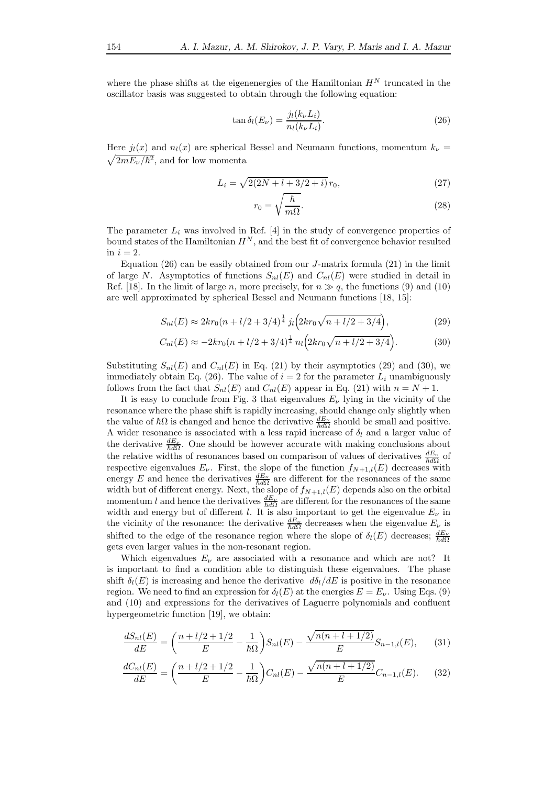where the phase shifts at the eigenenergies of the Hamiltonian  $H^N$  truncated in the oscillator basis was suggested to obtain through the following equation:

$$
\tan \delta_l(E_\nu) = \frac{j_l(k_\nu L_i)}{n_l(k_\nu L_i)}.\tag{26}
$$

Here  $j_l(x)$  and  $n_l(x)$  are spherical Bessel and Neumann functions, momentum  $k_{\nu}$  =  $\sqrt{2mE_{\nu}/\hbar^2}$ , and for low momenta

$$
L_i = \sqrt{2(2N + l + 3/2 + i)} r_0,
$$
\n(27)

$$
r_0 = \sqrt{\frac{\hbar}{m\Omega}}.\tag{28}
$$

The parameter  $L_i$  was involved in Ref. [4] in the study of convergence properties of bound states of the Hamiltonian  $H^N$ , and the best fit of convergence behavior resulted in  $i = 2$ .

Equation (26) can be easily obtained from our *J*-matrix formula (21) in the limit of large N. Asymptotics of functions  $S_{nl}(E)$  and  $C_{nl}(E)$  were studied in detail in Ref. [18]. In the limit of large n, more precisely, for  $n \gg q$ , the functions (9) and (10) are well approximated by spherical Bessel and Neumann functions [18, 15]:

$$
S_{nl}(E) \approx 2kr_0(n + l/2 + 3/4)^{\frac{1}{4}} j_l \left( 2kr_0\sqrt{n + l/2 + 3/4} \right),\tag{29}
$$

$$
C_{nl}(E) \approx -2kr_0(n + l/2 + 3/4)^{\frac{1}{4}} n_l \left(2kr_0\sqrt{n + l/2 + 3/4}\right).
$$
 (30)

Substituting  $S_{nl}(E)$  and  $C_{nl}(E)$  in Eq. (21) by their asymptotics (29) and (30), we immediately obtain Eq. (26). The value of  $i = 2$  for the parameter  $L_i$  unambiguously follows from the fact that  $S_{nl}(E)$  and  $C_{nl}(E)$  appear in Eq. (21) with  $n = N + 1$ .

It is easy to conclude from Fig. 3 that eigenvalues  $E_{\nu}$  lying in the vicinity of the resonance where the phase shift is rapidly increasing, should change only slightly when the value of  $\hbar\Omega$  is changed and hence the derivative  $\frac{dE_{\nu}}{\hbar d\Omega}$  should be small and positive. A wider resonance is associated with a less rapid increase of  $\delta_l$  and a larger value of the derivative  $\frac{dE_{\nu}}{h d\Omega}$ . One should be however accurate with making conclusions about the relative widths of resonances based on comparison of values of derivatives  $\frac{dE_{\nu}}{\hbar d\Omega}$  of respective eigenvalues  $E_{\nu}$ . First, the slope of the function  $f_{N+1,l}(E)$  decreases with energy E and hence the derivatives  $\frac{dE_{\nu}}{h d \Omega}$  are different for the resonances of the same width but of different energy. Next, the slope of  $f_{N+1,l}(E)$  depends also on the orbital momentum l and hence the derivatives  $\frac{dE_{\nu}}{h d \Omega}$  are different for the resonances of the same width and energy but of different l. It is also important to get the eigenvalue  $E_{\nu}$  in the vicinity of the resonance: the derivative  $\frac{dE_{\nu}}{\hbar d\Omega}$  decreases when the eigenvalue  $E_{\nu}$  is shifted to the edge of the resonance region where the slope of  $\delta_l(E)$  decreases;  $\frac{dE_\nu}{\hbar d\Omega}$ gets even larger values in the non-resonant region.

Which eigenvalues  $E_{\nu}$  are associated with a resonance and which are not? It is important to find a condition able to distinguish these eigenvalues. The phase shift  $\delta_l(E)$  is increasing and hence the derivative  $d\delta_l/dE$  is positive in the resonance region. We need to find an expression for  $\delta_l(E)$  at the energies  $E = E_\nu$ . Using Eqs. (9) and (10) and expressions for the derivatives of Laguerre polynomials and confluent hypergeometric function [19], we obtain:

$$
\frac{dS_{nl}(E)}{dE} = \left(\frac{n + l/2 + 1/2}{E} - \frac{1}{\hbar\Omega}\right)S_{nl}(E) - \frac{\sqrt{n(n + l + 1/2)}}{E}S_{n-1,l}(E),\tag{31}
$$

$$
\frac{dC_{nl}(E)}{dE} = \left(\frac{n + l/2 + 1/2}{E} - \frac{1}{\hbar\Omega}\right)C_{nl}(E) - \frac{\sqrt{n(n + l + 1/2)}}{E}C_{n-1,l}(E). \tag{32}
$$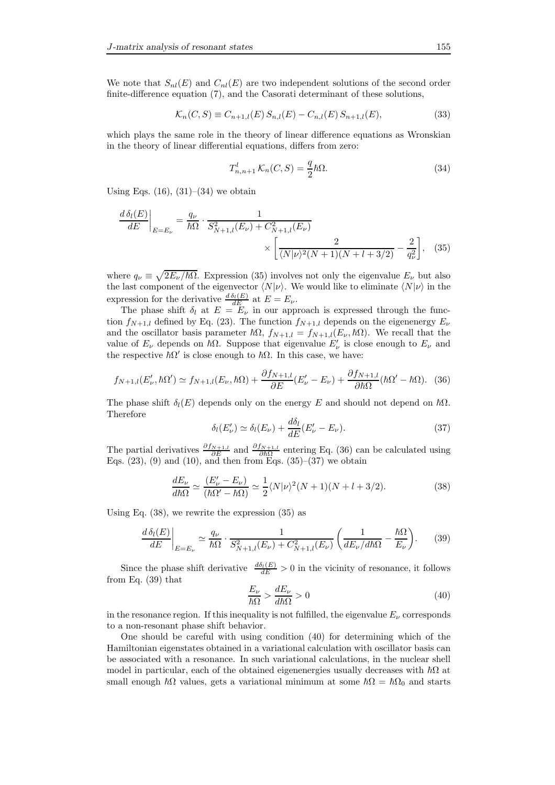We note that  $S_{nl}(E)$  and  $C_{nl}(E)$  are two independent solutions of the second order finite-difference equation (7), and the Casorati determinant of these solutions,

$$
\mathcal{K}_n(C, S) \equiv C_{n+1,l}(E) \, S_{n,l}(E) - C_{n,l}(E) \, S_{n+1,l}(E),\tag{33}
$$

which plays the same role in the theory of linear difference equations as Wronskian in the theory of linear differential equations, differs from zero:

$$
T_{n,n+1}^l \mathcal{K}_n(C, S) = \frac{q}{2} \hbar \Omega.
$$
 (34)

Using Eqs.  $(16)$ ,  $(31)–(34)$  we obtain

$$
\frac{d\,\delta_l(E)}{dE}\bigg|_{E=E_{\nu}} = \frac{q_{\nu}}{\hbar\Omega} \cdot \frac{1}{S_{N+1,l}^2(E_{\nu}) + C_{N+1,l}^2(E_{\nu})} \times \left[\frac{2}{\langle N|\nu\rangle^2(N+1)(N+l+3/2)} - \frac{2}{q_{\nu}^2}\right], \quad (35)
$$

where  $q_{\nu} \equiv \sqrt{2E_{\nu}/\hbar\Omega}$ . Expression (35) involves not only the eigenvalue  $E_{\nu}$  but also the last component of the eigenvector  $\langle N|\nu\rangle$ . We would like to eliminate  $\langle N|\nu\rangle$  in the expression for the derivative  $\frac{d \delta_l(E)}{dE}$  at  $E = E_{\nu}$ .

The phase shift  $\delta_l$  at  $E = E_{\nu}$  in our approach is expressed through the function  $f_{N+1,l}$  defined by Eq. (23). The function  $f_{N+1,l}$  depends on the eigenenergy  $E_{\nu}$ and the oscillator basis parameter  $\hbar\Omega$ ,  $f_{N+1,l} = f_{N+1,l}(E_{\nu}, \hbar\Omega)$ . We recall that the value of  $E_{\nu}$  depends on  $\hbar\Omega$ . Suppose that eigenvalue  $E'_{\nu}$  is close enough to  $E_{\nu}$  and the respective  $\hbar\Omega'$  is close enough to  $\hbar\Omega$ . In this case, we have:

$$
f_{N+1,l}(E'_{\nu},\hbar\Omega') \simeq f_{N+1,l}(E_{\nu},\hbar\Omega) + \frac{\partial f_{N+1,l}}{\partial E}(E'_{\nu} - E_{\nu}) + \frac{\partial f_{N+1,l}}{\partial \hbar\Omega}(\hbar\Omega' - \hbar\Omega). \tag{36}
$$

The phase shift  $\delta_l(E)$  depends only on the energy E and should not depend on  $\hbar\Omega$ . Therefore

$$
\delta_l(E'_{\nu}) \simeq \delta_l(E_{\nu}) + \frac{d\delta_l}{dE}(E'_{\nu} - E_{\nu}).
$$
\n(37)

The partial derivatives  $\frac{\partial f_{N+1,l}}{\partial E}$  and  $\frac{\partial f_{N+1,l}}{\partial E}$  entering Eq. (36) can be calculated using Eqs.  $(23)$ ,  $(9)$  and  $(10)$ , and then from Eqs.  $(35)-(37)$  we obtain

$$
\frac{dE_{\nu}}{dh\Omega} \simeq \frac{(E_{\nu}^{\prime} - E_{\nu})}{(h\Omega^{\prime} - h\Omega)} \simeq \frac{1}{2} \langle N|\nu\rangle^{2} (N+1)(N+l+3/2). \tag{38}
$$

Using Eq. (38), we rewrite the expression (35) as

$$
\left. \frac{d\,\delta_l(E)}{dE} \right|_{E=E_\nu} \simeq \frac{q_\nu}{\hbar \Omega} \cdot \frac{1}{S_{N+1,l}^2(E_\nu) + C_{N+1,l}^2(E_\nu)} \left( \frac{1}{dE_\nu/d\hbar \Omega} - \frac{\hbar \Omega}{E_\nu} \right). \tag{39}
$$

Since the phase shift derivative  $\frac{d\delta_l(E)}{dE} > 0$  in the vicinity of resonance, it follows from Eq. (39) that

$$
\frac{E_{\nu}}{\hbar\Omega} > \frac{dE_{\nu}}{d\hbar\Omega} > 0
$$
\n(40)

in the resonance region. If this inequality is not fulfilled, the eigenvalue  $E_{\nu}$  corresponds to a non-resonant phase shift behavior.

One should be careful with using condition (40) for determining which of the Hamiltonian eigenstates obtained in a variational calculation with oscillator basis can be associated with a resonance. In such variational calculations, in the nuclear shell model in particular, each of the obtained eigenenergies usually decreases with  $\hbar\Omega$  at small enough  $\hbar\Omega$  values, gets a variational minimum at some  $\hbar\Omega = \hbar\Omega_0$  and starts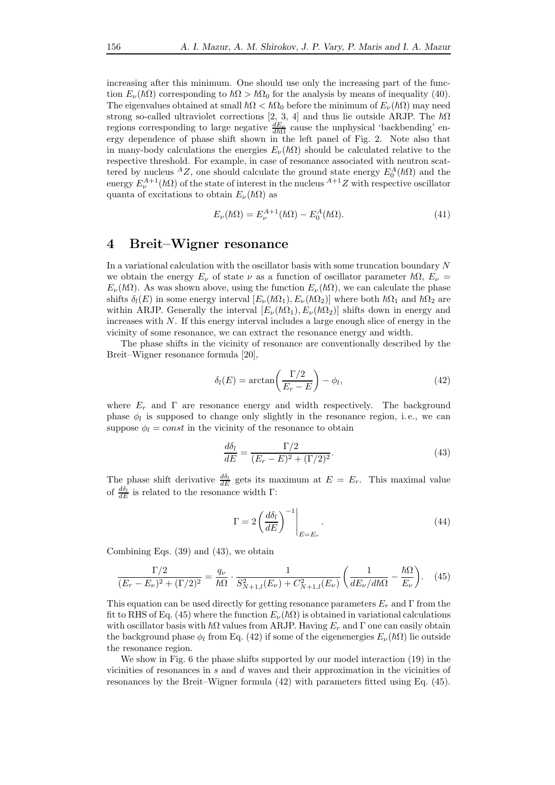increasing after this minimum. One should use only the increasing part of the function  $E_{\nu}(\hbar\Omega)$  corresponding to  $\hbar\Omega > \hbar\Omega_0$  for the analysis by means of inequality (40). The eigenvalues obtained at small  $\hbar\Omega < \hbar\Omega_0$  before the minimum of  $E_\nu(\hbar\Omega)$  may need strong so-called ultraviolet corrections [2, 3, 4] and thus lie outside ARJP. The  $\hbar\Omega$ regions corresponding to large negative  $\frac{dE_{\nu}}{dh\Omega}$  cause the unphysical 'backbending' energy dependence of phase shift shown in the left panel of Fig. 2. Note also that in many-body calculations the energies  $E_{\nu}(\hbar\Omega)$  should be calculated relative to the respective threshold. For example, in case of resonance associated with neutron scattered by nucleus <sup>A</sup>Z, one should calculate the ground state energy  $E_0^A(\hbar\Omega)$  and the energy  $E_{\nu}^{A+1}(\hbar\Omega)$  of the state of interest in the nucleus  $^{A+1}Z$  with respective oscillator quanta of excitations to obtain  $E_{\nu}(\hbar\Omega)$  as

$$
E_{\nu}(\hbar\Omega) = E_{\nu}^{A+1}(\hbar\Omega) - E_0^A(\hbar\Omega). \tag{41}
$$

## 4 Breit–Wigner resonance

In a variational calculation with the oscillator basis with some truncation boundary N we obtain the energy  $E_{\nu}$  of state  $\nu$  as a function of oscillator parameter  $\hbar\Omega$ ,  $E_{\nu}$  =  $E_{\nu}(\hbar\Omega)$ . As was shown above, using the function  $E_{\nu}(\hbar\Omega)$ , we can calculate the phase shifts  $\delta_l(E)$  in some energy interval  $[E_\nu(\hbar\Omega_1), E_\nu(\hbar\Omega_2)]$  where both  $\hbar\Omega_1$  and  $\hbar\Omega_2$  are within ARJP. Generally the interval  $[E_{\nu}(\hbar\Omega_1), E_{\nu}(\hbar\Omega_2)]$  shifts down in energy and increases with  $N$ . If this energy interval includes a large enough slice of energy in the vicinity of some resonance, we can extract the resonance energy and width.

The phase shifts in the vicinity of resonance are conventionally described by the Breit–Wigner resonance formula [20],

$$
\delta_l(E) = \arctan\left(\frac{\Gamma/2}{E_r - E}\right) - \phi_l,\tag{42}
$$

where  $E_r$  and  $\Gamma$  are resonance energy and width respectively. The background phase  $\phi_l$  is supposed to change only slightly in the resonance region, i.e., we can suppose  $\phi_l = const$  in the vicinity of the resonance to obtain

$$
\frac{d\delta_l}{dE} = \frac{\Gamma/2}{(E_r - E)^2 + (\Gamma/2)^2}.\tag{43}
$$

The phase shift derivative  $\frac{d\delta_l}{dE}$  gets its maximum at  $E = E_r$ . This maximal value of  $\frac{d\delta_l}{dE}$  is related to the resonance width  $\Gamma$ :

$$
\Gamma = 2 \left( \frac{d\delta_l}{dE} \right)^{-1} \Big|_{E=E_r} . \tag{44}
$$

Combining Eqs. (39) and (43), we obtain

$$
\frac{\Gamma/2}{(E_r - E_\nu)^2 + (\Gamma/2)^2} = \frac{q_\nu}{\hbar \Omega} \cdot \frac{1}{S_{N+1,l}^2(E_\nu) + C_{N+1,l}^2(E_\nu)} \left(\frac{1}{dE_\nu/d\hbar \Omega} - \frac{\hbar \Omega}{E_\nu}\right).
$$
 (45)

This equation can be used directly for getting resonance parameters  $E_r$  and  $\Gamma$  from the fit to RHS of Eq. (45) where the function  $E_{\nu}(\hbar\Omega)$  is obtained in variational calculations with oscillator basis with  $\hbar\Omega$  values from ARJP. Having  $E_r$  and  $\Gamma$  one can easily obtain the background phase  $\phi_l$  from Eq. (42) if some of the eigenenergies  $E_\nu(h\Omega)$  lie outside the resonance region.

We show in Fig. 6 the phase shifts supported by our model interaction  $(19)$  in the vicinities of resonances in  $s$  and  $d$  waves and their approximation in the vicinities of resonances by the Breit–Wigner formula (42) with parameters fitted using Eq. (45).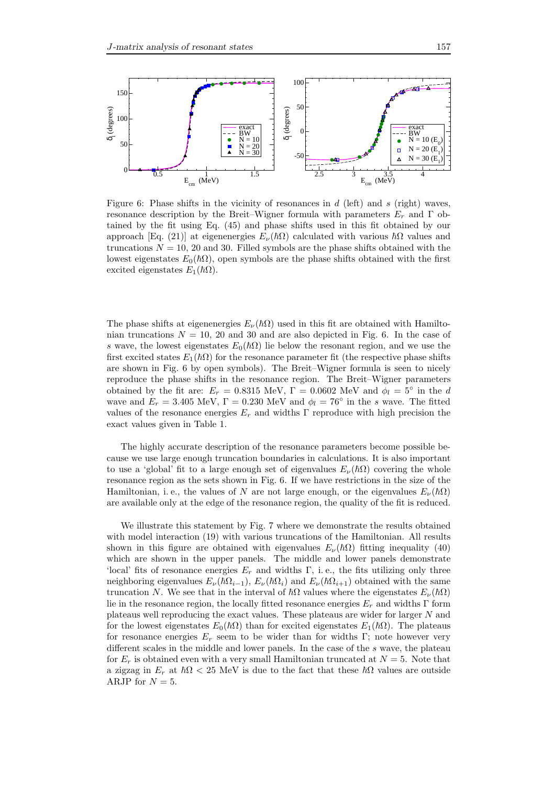

Figure 6: Phase shifts in the vicinity of resonances in  $d$  (left) and  $s$  (right) waves, resonance description by the Breit–Wigner formula with parameters  $E_r$  and  $\Gamma$  obtained by the fit using Eq. (45) and phase shifts used in this fit obtained by our approach [Eq. (21)] at eigenenergies  $E_{\nu}(\hbar\Omega)$  calculated with various  $\hbar\Omega$  values and truncations  $N = 10$ , 20 and 30. Filled symbols are the phase shifts obtained with the lowest eigenstates  $E_0(\hbar\Omega)$ , open symbols are the phase shifts obtained with the first excited eigenstates  $E_1(\hbar\Omega)$ .

The phase shifts at eigenenergies  $E_{\nu}(\hbar\Omega)$  used in this fit are obtained with Hamiltonian truncations  $N = 10$ , 20 and 30 and are also depicted in Fig. 6. In the case of s wave, the lowest eigenstates  $E_0(\hbar\Omega)$  lie below the resonant region, and we use the first excited states  $E_1(\hbar\Omega)$  for the resonance parameter fit (the respective phase shifts are shown in Fig. 6 by open symbols). The Breit–Wigner formula is seen to nicely reproduce the phase shifts in the resonance region. The Breit–Wigner parameters obtained by the fit are:  $E_r = 0.8315 \text{ MeV}, \Gamma = 0.0602 \text{ MeV}$  and  $\phi_l = 5^\circ$  in the d wave and  $E_r = 3.405$  MeV,  $\Gamma = 0.230$  MeV and  $\phi_l = 76^\circ$  in the s wave. The fitted values of the resonance energies  $E_r$  and widths Γ reproduce with high precision the exact values given in Table 1.

The highly accurate description of the resonance parameters become possible because we use large enough truncation boundaries in calculations. It is also important to use a 'global' fit to a large enough set of eigenvalues  $E_{\nu}(\hbar\Omega)$  covering the whole resonance region as the sets shown in Fig. 6. If we have restrictions in the size of the Hamiltonian, i. e., the values of N are not large enough, or the eigenvalues  $E_{\nu}(\hbar\Omega)$ are available only at the edge of the resonance region, the quality of the fit is reduced.

We illustrate this statement by Fig. 7 where we demonstrate the results obtained with model interaction (19) with various truncations of the Hamiltonian. All results shown in this figure are obtained with eigenvalues  $E_{\nu}(\hbar\Omega)$  fitting inequality (40) which are shown in the upper panels. The middle and lower panels demonstrate 'local' fits of resonance energies  $E_r$  and widths Γ, i. e., the fits utilizing only three neighboring eigenvalues  $E_{\nu}(\hbar\Omega_{i-1}), E_{\nu}(\hbar\Omega_i)$  and  $E_{\nu}(\hbar\Omega_{i+1})$  obtained with the same truncation N. We see that in the interval of  $\hbar\Omega$  values where the eigenstates  $E_{\nu}(\hbar\Omega)$ lie in the resonance region, the locally fitted resonance energies  $E_r$  and widths Γ form plateaus well reproducing the exact values. These plateaus are wider for larger N and for the lowest eigenstates  $E_0(\hbar\Omega)$  than for excited eigenstates  $E_1(\hbar\Omega)$ . The plateaus for resonance energies  $E_r$  seem to be wider than for widths Γ; note however very different scales in the middle and lower panels. In the case of the s wave, the plateau for  $E_r$  is obtained even with a very small Hamiltonian truncated at  $N = 5$ . Note that a zigzag in  $E_r$  at  $\hbar\Omega < 25$  MeV is due to the fact that these  $\hbar\Omega$  values are outside ARJP for  $N = 5$ .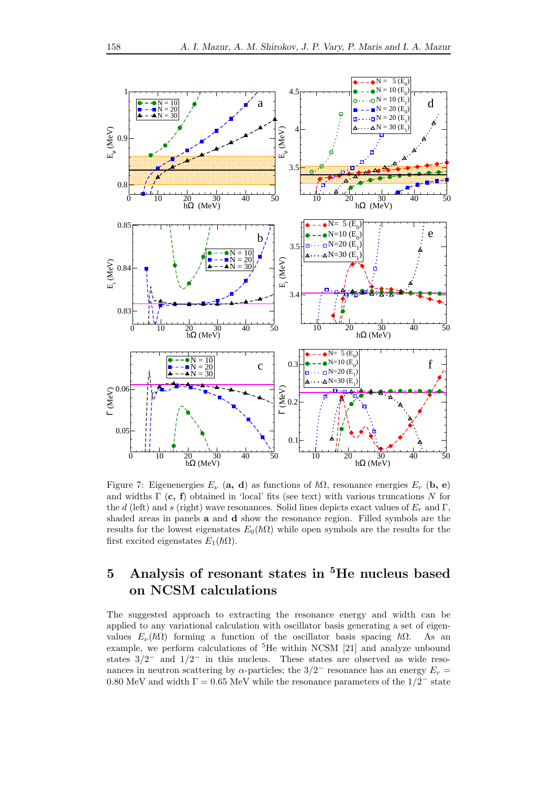

Figure 7: Eigenenergies  $E_{\nu}$  (a, d) as functions of  $\hbar\Omega$ , resonance energies  $E_r$  (b, e) and widths  $\Gamma$  (c, f) obtained in 'local' fits (see text) with various truncations N for the d (left) and s (right) wave resonances. Solid lines depicts exact values of  $E_r$  and  $\Gamma$ , shaded areas in panels a and d show the resonance region. Filled symbols are the results for the lowest eigenstates  $E_0(\hbar\Omega)$  while open symbols are the results for the first excited eigenstates  $E_1(\hbar\Omega)$ .

# 5 Analysis of resonant states in <sup>5</sup>He nucleus based on NCSM calculations

The suggested approach to extracting the resonance energy and width can be applied to any variational calculation with oscillator basis generating a set of eigenvalues  $E_{\nu}(\hbar\Omega)$  forming a function of the oscillator basis spacing  $\hbar\Omega$ . As an example, we perform calculations of <sup>5</sup>He within NCSM [21] and analyze unbound states  $3/2^-$  and  $1/2^-$  in this nucleus. These states are observed as wide resonances in neutron scattering by  $\alpha$ -particles; the 3/2<sup>-</sup> resonance has an energy  $E_r =$ 0.80 MeV and width  $\Gamma = 0.65$  MeV while the resonance parameters of the  $1/2^-$  state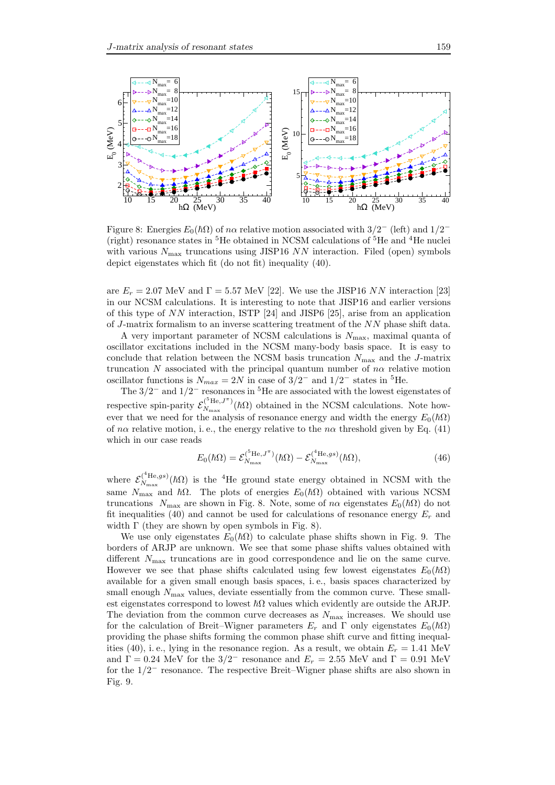

Figure 8: Energies  $E_0(\hbar\Omega)$  of  $n\alpha$  relative motion associated with  $3/2^-$  (left) and  $1/2^-$ (right) resonance states in <sup>5</sup>He obtained in NCSM calculations of <sup>5</sup>He and <sup>4</sup>He nuclei with various  $N_{\text{max}}$  truncations using JISP16 NN interaction. Filed (open) symbols depict eigenstates which fit (do not fit) inequality (40).

are  $E_r = 2.07$  MeV and  $\Gamma = 5.57$  MeV [22]. We use the JISP16 NN interaction [23] in our NCSM calculations. It is interesting to note that JISP16 and earlier versions of this type of NN interaction, ISTP [24] and JISP6 [25], arise from an application of J-matrix formalism to an inverse scattering treatment of the NN phase shift data.

A very important parameter of NCSM calculations is  $N_{\text{max}}$ , maximal quanta of oscillator excitations included in the NCSM many-body basis space. It is easy to conclude that relation between the NCSM basis truncation  $N_{\text{max}}$  and the J-matrix truncation N associated with the principal quantum number of  $n\alpha$  relative motion oscillator functions is  $N_{max} = 2N$  in case of  $3/2^-$  and  $1/2^-$  states in <sup>5</sup>He.

The  $3/2^-$  and  $1/2^-$  resonances in <sup>5</sup>He are associated with the lowest eigenstates of respective spin-parity  $\mathcal{E}_{N_{\text{max}}}^{(5\text{He},J^{\pi})}$  $N_{\text{max}}^{(\text{He},J^{n})}(\hbar\Omega)$  obtained in the NCSM calculations. Note however that we need for the analysis of resonance energy and width the energy  $E_0(\hbar\Omega)$ of n $\alpha$  relative motion, i.e., the energy relative to the n $\alpha$  threshold given by Eq. (41) which in our case reads

$$
E_0(\hbar\Omega) = \mathcal{E}_{N_{\text{max}}}^{(^{5}\text{He},J^{\pi})}(\hbar\Omega) - \mathcal{E}_{N_{\text{max}}}^{(^{4}\text{He},gs)}(\hbar\Omega),\tag{46}
$$

where  $\mathcal{E}_{N_{\text{max}}}^{(^{4}\text{He},gs)}$  $N_{\text{max}}^{(\text{H} \text{H} \text{e},gs)}(\hbar\Omega)$  is the <sup>4</sup>He ground state energy obtained in NCSM with the same  $N_{\text{max}}$  and  $\hbar\Omega$ . The plots of energies  $E_0(\hbar\Omega)$  obtained with various NCSM truncations  $N_{\text{max}}$  are shown in Fig. 8. Note, some of n $\alpha$  eigenstates  $E_0(\hbar\Omega)$  do not fit inequalities (40) and cannot be used for calculations of resonance energy  $E_r$  and width  $\Gamma$  (they are shown by open symbols in Fig. 8).

We use only eigenstates  $E_0(\hbar\Omega)$  to calculate phase shifts shown in Fig. 9. The borders of ARJP are unknown. We see that some phase shifts values obtained with different  $N_{\text{max}}$  truncations are in good correspondence and lie on the same curve. However we see that phase shifts calculated using few lowest eigenstates  $E_0(\hbar\Omega)$ available for a given small enough basis spaces, i. e., basis spaces characterized by small enough  $N_{\text{max}}$  values, deviate essentially from the common curve. These smallest eigenstates correspond to lowest  $\hbar\Omega$  values which evidently are outside the ARJP. The deviation from the common curve decreases as  $N_{\text{max}}$  increases. We should use for the calculation of Breit–Wigner parameters  $E_r$  and  $\Gamma$  only eigenstates  $E_0(\hbar\Omega)$ providing the phase shifts forming the common phase shift curve and fitting inequalities (40), i. e., lying in the resonance region. As a result, we obtain  $E_r = 1.41$  MeV and  $\Gamma = 0.24$  MeV for the 3/2<sup>-</sup> resonance and  $E_r = 2.55$  MeV and  $\Gamma = 0.91$  MeV for the 1/2<sup>−</sup> resonance. The respective Breit–Wigner phase shifts are also shown in Fig. 9.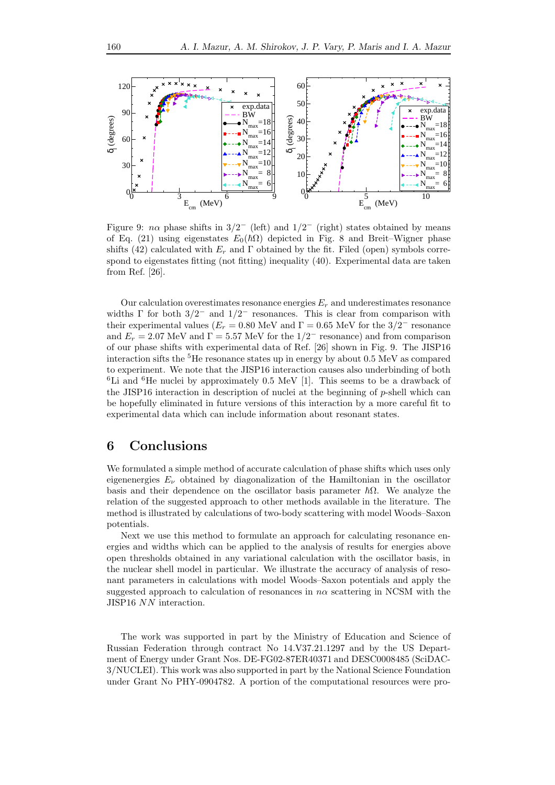

Figure 9:  $n\alpha$  phase shifts in  $3/2^-$  (left) and  $1/2^-$  (right) states obtained by means of Eq. (21) using eigenstates  $E_0(\hbar\Omega)$  depicted in Fig. 8 and Breit–Wigner phase shifts (42) calculated with  $E_r$  and  $\Gamma$  obtained by the fit. Filed (open) symbols correspond to eigenstates fitting (not fitting) inequality (40). Experimental data are taken from Ref. [26].

Our calculation overestimates resonance energies  $E_r$  and underestimates resonance widths  $\Gamma$  for both  $3/2^-$  and  $1/2^-$  resonances. This is clear from comparison with their experimental values ( $E_r = 0.80$  MeV and  $\Gamma = 0.65$  MeV for the  $3/2^-$  resonance and  $E_r = 2.07$  MeV and  $\Gamma = 5.57$  MeV for the  $1/2^-$  resonance) and from comparison of our phase shifts with experimental data of Ref. [26] shown in Fig. 9. The JISP16 interaction sifts the  ${}^{5}$ He resonance states up in energy by about 0.5 MeV as compared to experiment. We note that the JISP16 interaction causes also underbinding of both  ${}^{6}$ Li and  ${}^{6}$ He nuclei by approximately 0.5 MeV [1]. This seems to be a drawback of the JISP16 interaction in description of nuclei at the beginning of  $p$ -shell which can be hopefully eliminated in future versions of this interaction by a more careful fit to experimental data which can include information about resonant states.

## 6 Conclusions

We formulated a simple method of accurate calculation of phase shifts which uses only eigenenergies  $E_{\nu}$  obtained by diagonalization of the Hamiltonian in the oscillator basis and their dependence on the oscillator basis parameter  $~\hbar\Omega$ . We analyze the relation of the suggested approach to other methods available in the literature. The method is illustrated by calculations of two-body scattering with model Woods–Saxon potentials.

Next we use this method to formulate an approach for calculating resonance energies and widths which can be applied to the analysis of results for energies above open thresholds obtained in any variational calculation with the oscillator basis, in the nuclear shell model in particular. We illustrate the accuracy of analysis of resonant parameters in calculations with model Woods–Saxon potentials and apply the suggested approach to calculation of resonances in  $n\alpha$  scattering in NCSM with the JISP16 NN interaction.

The work was supported in part by the Ministry of Education and Science of Russian Federation through contract No 14.V37.21.1297 and by the US Department of Energy under Grant Nos. DE-FG02-87ER40371 and DESC0008485 (SciDAC-3/NUCLEI). This work was also supported in part by the National Science Foundation under Grant No PHY-0904782. A portion of the computational resources were pro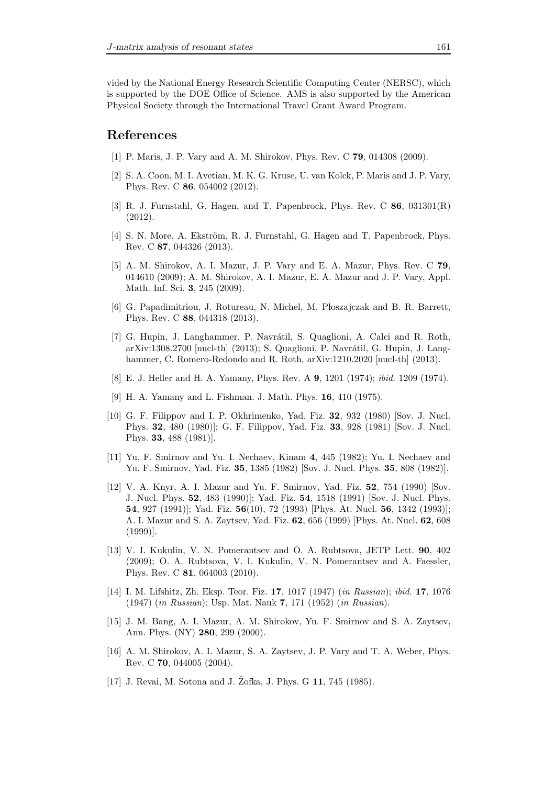vided by the National Energy Research Scientific Computing Center (NERSC), which is supported by the DOE Office of Science. AMS is also supported by the American Physical Society through the International Travel Grant Award Program.

#### References

- [1] P. Maris, J. P. Vary and A. M. Shirokov, Phys. Rev. C **79**, 014308 (2009).
- [2] S. A. Coon, M. I. Avetian, M. K. G. Kruse, U. van Kolck, P. Maris and J. P. Vary, Phys. Rev. C 86, 054002 (2012).
- [3] R. J. Furnstahl, G. Hagen, and T. Papenbrock, Phys. Rev. C  $86$ ,  $031301(R)$ (2012).
- [4] S. N. More, A. Ekström, R. J. Furnstahl, G. Hagen and T. Papenbrock, Phys. Rev. C 87, 044326 (2013).
- [5] A. M. Shirokov, A. I. Mazur, J. P. Vary and E. A. Mazur, Phys. Rev. C 79, 014610 (2009); A. M. Shirokov, A. I. Mazur, E. A. Mazur and J. P. Vary, Appl. Math. Inf. Sci. 3, 245 (2009).
- [6] G. Papadimitriou, J. Rotureau, N. Michel, M. P loszajczak and B. R. Barrett, Phys. Rev. C 88, 044318 (2013).
- [7] G. Hupin, J. Langhammer, P. Navrátil, S. Quaglioni, A. Calci and R. Roth, arXiv:1308.2700 [nucl-th]  $(2013)$ ; S. Quaglioni, P. Navrátil, G. Hupin, J. Langhammer, C. Romero-Redondo and R. Roth, arXiv:1210.2020 [nucl-th] (2013).
- [8] E. J. Heller and H. A. Yamany, Phys. Rev. A 9, 1201 (1974); ibid. 1209 (1974).
- [9] H. A. Yamany and L. Fishman. J. Math. Phys. 16, 410 (1975).
- [10] G. F. Filippov and I. P. Okhrimenko, Yad. Fiz. 32, 932 (1980) [Sov. J. Nucl. Phys. 32, 480 (1980)]; G. F. Filippov, Yad. Fiz. 33, 928 (1981) [Sov. J. Nucl. Phys. 33, 488 (1981)].
- [11] Yu. F. Smirnov and Yu. I. Nechaev, Kinam 4, 445 (1982); Yu. I. Nechaev and Yu. F. Smirnov, Yad. Fiz. 35, 1385 (1982) [Sov. J. Nucl. Phys. 35, 808 (1982)].
- [12] V. A. Knyr, A. I. Mazur and Yu. F. Smirnov, Yad. Fiz. 52, 754 (1990) [Sov. J. Nucl. Phys. 52, 483 (1990)]; Yad. Fiz. 54, 1518 (1991) [Sov. J. Nucl. Phys. 54, 927 (1991)]; Yad. Fiz. 56(10), 72 (1993) [Phys. At. Nucl. 56, 1342 (1993)]; A. I. Mazur and S. A. Zaytsev, Yad. Fiz. 62, 656 (1999) [Phys. At. Nucl. 62, 608 (1999)].
- [13] V. I. Kukulin, V. N. Pomerantsev and O. A. Rubtsova, JETP Lett. 90, 402 (2009); O. A. Rubtsova, V. I. Kukulin, V. N. Pomerantsev and A. Faessler, Phys. Rev. C 81, 064003 (2010).
- [14] I. M. Lifshitz, Zh. Eksp. Teor. Fiz. 17, 1017 (1947) (in Russian); ibid. 17, 1076 (1947) (in Russian); Usp. Mat. Nauk 7, 171 (1952) (in Russian).
- [15] J. M. Bang, A. I. Mazur, A. M. Shirokov, Yu. F. Smirnov and S. A. Zaytsev, Ann. Phys. (NY) 280, 299 (2000).
- [16] A. M. Shirokov, A. I. Mazur, S. A. Zaytsev, J. P. Vary and T. A. Weber, Phys. Rev. C 70, 044005 (2004).
- [17] J. Revai, M. Sotona and J. Žofka, J. Phys. G  $11$ , 745 (1985).